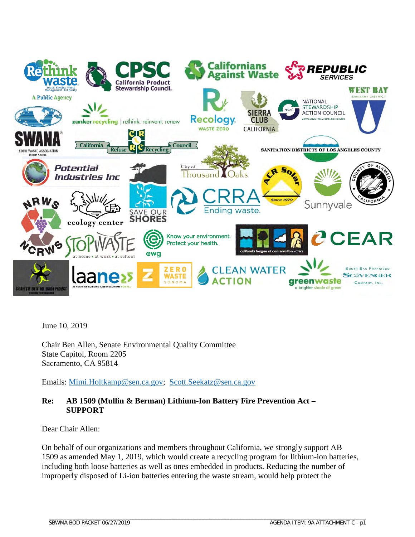

June 10, 2019

Chair Ben Allen, Senate Environmental Quality Committee State Capitol, Room 2205 Sacramento, CA 95814

Emails: [Mimi.Holtkamp@sen.ca.gov;](mailto:Mimi.Holtkamp@sen.ca.gov) [Scott.Seekatz@sen.ca.gov](mailto:Scott.Seekatz@sen.ca.gov)

### **Re: AB 1509 (Mullin & Berman) Lithium-Ion Battery Fire Prevention Act – SUPPORT**

Dear Chair Allen:

On behalf of our organizations and members throughout California, we strongly support AB 1509 as amended May 1, 2019, which would create a recycling program for lithium-ion batteries, including both loose batteries as well as ones embedded in products. Reducing the number of improperly disposed of Li-ion batteries entering the waste stream, would help protect the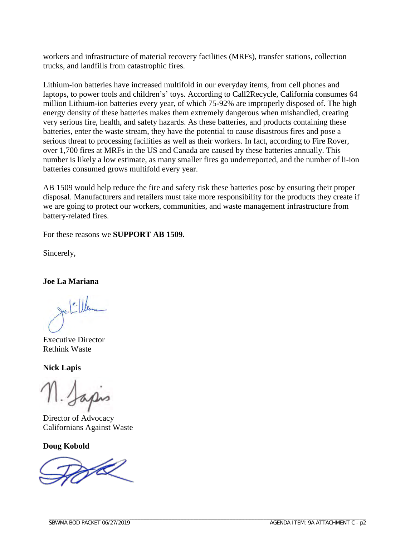workers and infrastructure of material recovery facilities (MRFs), transfer stations, collection trucks, and landfills from catastrophic fires.

Lithium-ion batteries have increased multifold in our everyday items, from cell phones and laptops, to power tools and children's' toys. According to Call2Recycle, California consumes 64 million Lithium-ion batteries every year, of which 75-92% are improperly disposed of. The high energy density of these batteries makes them extremely dangerous when mishandled, creating very serious fire, health, and safety hazards. As these batteries, and products containing these batteries, enter the waste stream, they have the potential to cause disastrous fires and pose a serious threat to processing facilities as well as their workers. In fact, according to Fire Rover, over 1,700 fires at MRFs in the US and Canada are caused by these batteries annually. This number is likely a low estimate, as many smaller fires go underreported, and the number of li-ion batteries consumed grows multifold every year.

AB 1509 would help reduce the fire and safety risk these batteries pose by ensuring their proper disposal. Manufacturers and retailers must take more responsibility for the products they create if we are going to protect our workers, communities, and waste management infrastructure from battery-related fires.

For these reasons we **SUPPORT AB 1509.** 

Sincerely,

**Joe La Mariana** 

 $e$ 

Executive Director Rethink Waste

**Nick Lapis**

11. Japos

Director of Advocacy Californians Against Waste

**Doug Kobold** 

\_\_\_\_\_\_\_\_\_\_\_\_\_\_\_\_\_\_\_\_\_\_\_\_\_\_\_\_\_\_\_\_\_\_\_\_\_\_\_\_\_\_\_\_\_\_\_\_\_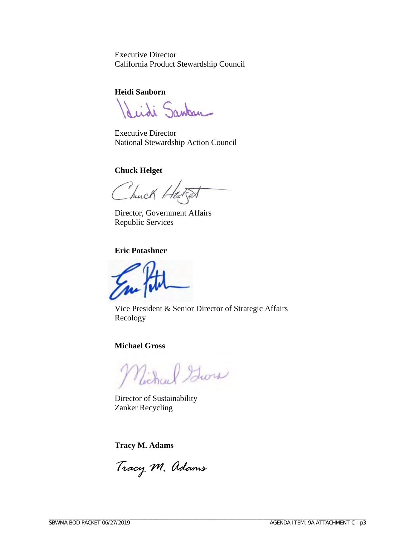Executive Director California Product Stewardship Council

**Heidi Sanborn**

Seidi Sankan

Executive Director National Stewardship Action Council

**Chuck Helget** 

Thuck He

Director, Government Affairs Republic Services

**Eric Potashner**

Vice President & Senior Director of Strategic Affairs Recology

**Michael Gross**

Michael Gross

Director of Sustainability Zanker Recycling

**Tracy M. Adams**

*Tracy M. Adams*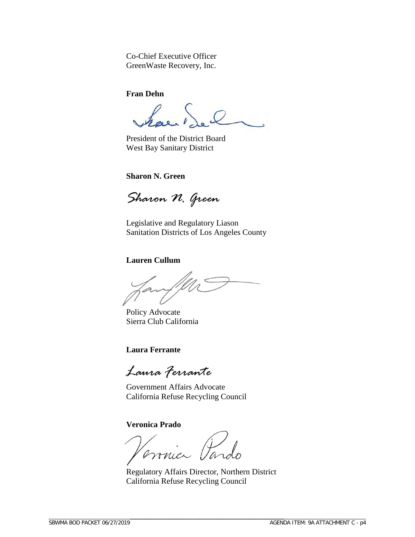Co-Chief Executive Officer GreenWaste Recovery, Inc.

**Fran Dehn**

has

President of the District Board West Bay Sanitary District

**Sharon N. Green**

*Sharon N. Green*

Legislative and Regulatory Liason Sanitation Districts of Los Angeles County

### **Lauren Cullum**

fanffler

Policy Advocate Sierra Club California

### **Laura Ferrante**

*Laura Ferrante*

Government Affairs Advocate California Refuse Recycling Council

**Veronica Prado**

mici Paro

Regulatory Affairs Director, Northern District California Refuse Recycling Council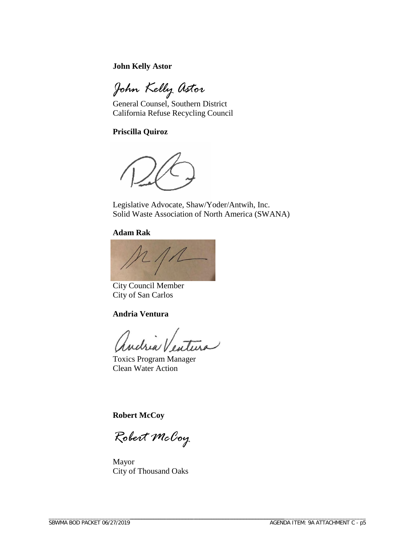**John Kelly Astor** 

*John Kelly Astor*

General Counsel, Southern District California Refuse Recycling Council

**Priscilla Quiroz**

Legislative Advocate, Shaw/Yoder/Antwih, Inc. Solid Waste Association of North America (SWANA)

#### **Adam Rak**



City Council Member City of San Carlos

### **Andria Ventura**

autu

Toxics Program Manager Clean Water Action

**Robert McCoy** 

*Robert McCoy* 

Mayor City of Thousand Oaks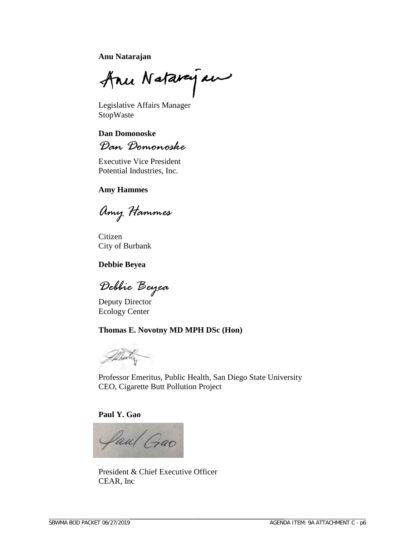**Anu Natarajan** 

Anu Natarague

Legislative Affairs Manager StopWaste

**Dan Domonoske** 

*Dan Domonoske*

Executive Vice President Potential Industries, Inc.

### **Amy Hammes**

*Amy Hammes* 

Citizen City of Burbank

#### **Debbie Beyea**

*Debbie Beyea*

Deputy Director Ecology Center

### **Thomas E. Novotny MD MPH DSc (Hon)**



Professor Emeritus, Public Health, San Diego State University CEO, Cigarette Butt Pollution Project

#### **Paul Y. Gao**

\_\_\_\_\_\_\_\_\_\_\_\_\_\_\_\_\_\_\_\_\_\_\_\_\_\_\_\_\_\_\_\_\_\_\_\_\_\_\_\_\_\_\_\_\_\_\_\_\_



President & Chief Executive Officer CEAR, Inc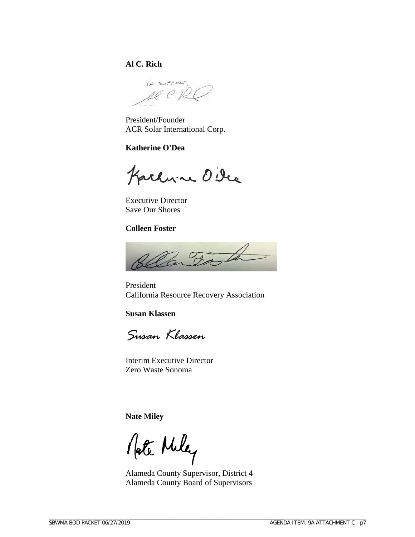## **Al C. Rich**

IP SUPPORT, se e Pa

President/Founder ACR Solar International Corp.

### **Katherine O'Dea**

Karhvine Oile

Executive Director Save Our Shores

### **Colleen Foster**



President California Resource Recovery Association

**Susan Klassen**

*Susan Klassen*

Interim Executive Director Zero Waste Sonoma

**Nate Miley**

Nate Miley

Alameda County Supervisor, District 4 Alameda County Board of Supervisors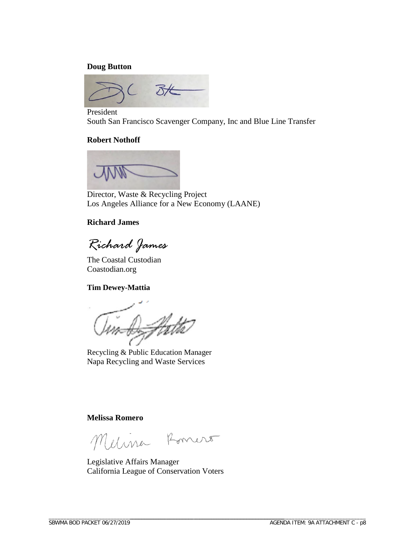#### **Doug Button**



President South San Francisco Scavenger Company, Inc and Blue Line Transfer

#### **Robert Nothoff**



Director, Waste & Recycling Project Los Angeles Alliance for a New Economy (LAANE)

#### **Richard James**

*Richard James*

The Coastal Custodian Coastodian.org

#### **Tim Dewey-Mattia**

D-Hatta

Recycling & Public Education Manager Napa Recycling and Waste Services

#### **Melissa Romero**

Melina Romero

Legislative Affairs Manager California League of Conservation Voters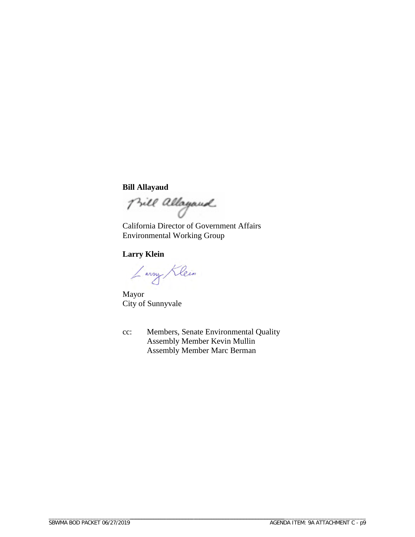### **Bill Allayaud**

Bill allayand

California Director of Government Affairs Environmental Working Group

### **Larry Klein**

Larry Klein

Mayor City of Sunnyvale

cc: Members, Senate Environmental Quality Assembly Member Kevin Mullin Assembly Member Marc Berman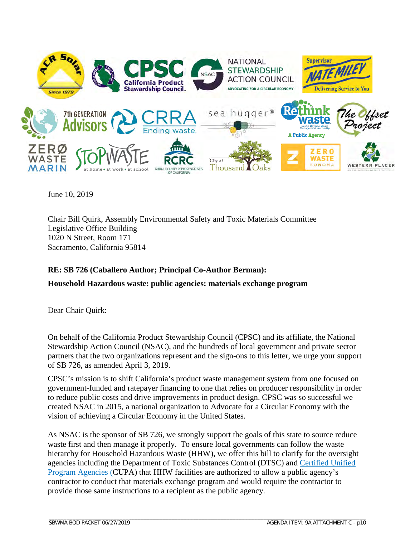

June 10, 2019

Chair Bill Quirk, Assembly Environmental Safety and Toxic Materials Committee Legislative Office Building 1020 N Street, Room 171 Sacramento, California 95814

## **RE: SB 726 (Caballero Author; Principal Co-Author Berman):**

**Household Hazardous waste: public agencies: materials exchange program**

Dear Chair Quirk:

On behalf of the California Product Stewardship Council (CPSC) and its affiliate, the National Stewardship Action Council (NSAC), and the hundreds of local government and private sector partners that the two organizations represent and the sign-ons to this letter, we urge your support of SB 726, as amended April 3, 2019.

CPSC's mission is to shift California's product waste management system from one focused on government-funded and ratepayer financing to one that relies on producer responsibility in order to reduce public costs and drive improvements in product design. CPSC was so successful we created NSAC in 2015, a national organization to Advocate for a Circular Economy with the vision of achieving a Circular Economy in the United States.

As NSAC is the sponsor of SB 726, we strongly support the goals of this state to source reduce waste first and then manage it properly. To ensure local governments can follow the waste hierarchy for Household Hazardous Waste (HHW), we offer this bill to clarify for the oversight agencies including the Department of Toxic Substances Control (DTSC) and [Certified Unified](https://www.dtsc.ca.gov/hazardouswaste/certifiedunifiedprogramagencies.cfm)  Program [Agencies](https://www.dtsc.ca.gov/hazardouswaste/certifiedunifiedprogramagencies.cfm) (CUPA) that HHW facilities are authorized to allow a public agency's contractor to conduct that materials exchange program and would require the contractor to provide those same instructions to a recipient as the public agency.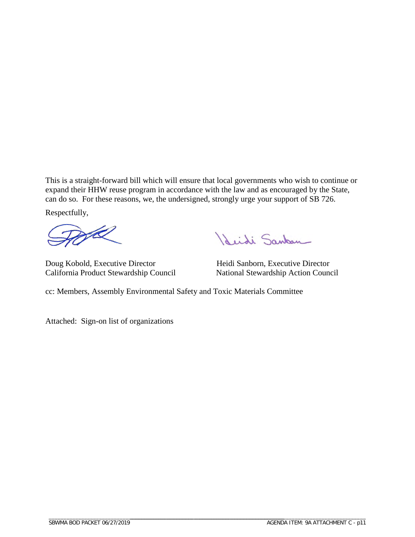This is a straight-forward bill which will ensure that local governments who wish to continue or expand their HHW reuse program in accordance with the law and as encouraged by the State, can do so. For these reasons, we, the undersigned, strongly urge your support of SB 726.

Respectfully,

<u>L</u>

Doug Kobold, Executive Director Heidi Sanborn, Executive Director California Product Stewardship Council

Reidi Sankan

cc: Members, Assembly Environmental Safety and Toxic Materials Committee

Attached: Sign-on list of organizations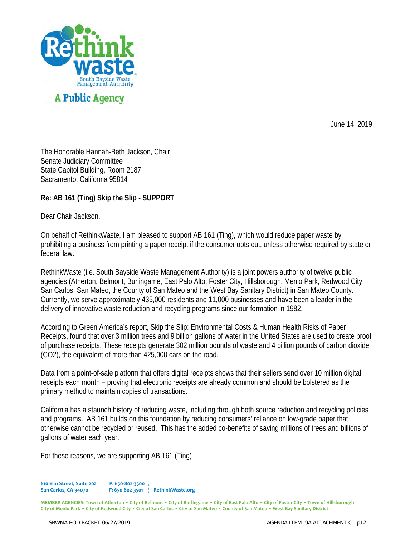

June 14, 2019

The Honorable Hannah-Beth Jackson, Chair Senate Judiciary Committee State Capitol Building, Room 2187 Sacramento, California 95814

## **Re: AB 161 (Ting) Skip the Slip - SUPPORT**

Dear Chair Jackson,

On behalf of RethinkWaste, I am pleased to support AB 161 (Ting), which would reduce paper waste by prohibiting a business from printing a paper receipt if the consumer opts out, unless otherwise required by state or federal law.

RethinkWaste (i.e. South Bayside Waste Management Authority) is a joint powers authority of twelve public agencies (Atherton, Belmont, Burlingame, East Palo Alto, Foster City, Hillsborough, Menlo Park, Redwood City, San Carlos, San Mateo, the County of San Mateo and the West Bay Sanitary District) in San Mateo County. Currently, we serve approximately 435,000 residents and 11,000 businesses and have been a leader in the delivery of innovative waste reduction and recycling programs since our formation in 1982.

According to Green America's report, Skip the Slip: Environmental Costs & Human Health Risks of Paper Receipts, found that over 3 million trees and 9 billion gallons of water in the United States are used to create proof of purchase receipts. These receipts generate 302 million pounds of waste and 4 billion pounds of carbon dioxide (CO2), the equivalent of more than 425,000 cars on the road.

Data from a point-of-sale platform that offers digital receipts shows that their sellers send over 10 million digital receipts each month – proving that electronic receipts are already common and should be bolstered as the primary method to maintain copies of transactions.

California has a staunch history of reducing waste, including through both source reduction and recycling policies and programs. AB 161 builds on this foundation by reducing consumers' reliance on low-grade paper that otherwise cannot be recycled or reused. This has the added co-benefits of saving millions of trees and billions of gallons of water each year.

For these reasons, we are supporting AB 161 (Ting)

**610 Elm Street, Suite 202 P: 650-802-3500 San Carlos, CA 94070 F: 650-802-3501 RethinkWaste.org**

\_\_\_\_\_\_\_\_\_\_\_\_\_\_\_\_\_\_\_\_\_\_\_\_\_\_\_\_\_\_\_\_\_\_\_\_\_\_\_\_\_\_\_\_\_\_\_\_\_

**MEMBER AGENCIES: Town of Atherton • City of Belmont • City of Burlingame • City of East Palo Alto • City of Foster City • Town of Hillsborough City of Menlo Park • City of Redwood City • City of San Carlos • City of San Mateo • County of San Mateo • West Bay Sanitary District**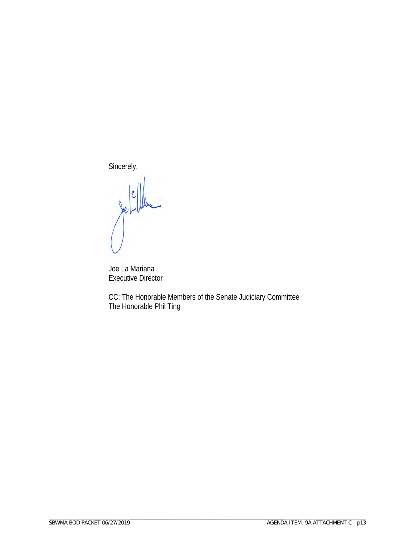Sincerely,

Joe La Mariana Executive Director

CC: The Honorable Members of the Senate Judiciary Committee The Honorable Phil Ting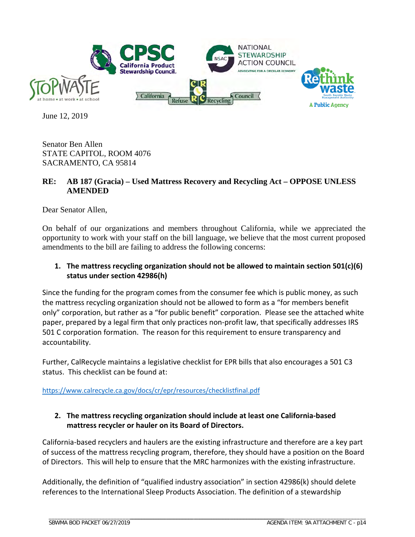

June 12, 2019

Senator Ben Allen STATE CAPITOL, ROOM 4076 SACRAMENTO, CA 95814

### **RE: AB 187 (Gracia) – Used Mattress Recovery and Recycling Act – OPPOSE UNLESS AMENDED**

Dear Senator Allen,

On behalf of our organizations and members throughout California, while we appreciated the opportunity to work with your staff on the bill language, we believe that the most current proposed amendments to the bill are failing to address the following concerns:

## **1. The mattress recycling organization should not be allowed to maintain section 501(c)(6) status under section 42986(h)**

Since the funding for the program comes from the consumer fee which is public money, as such the mattress recycling organization should not be allowed to form as a "for members benefit only" corporation, but rather as a "for public benefit" corporation. Please see the attached white paper, prepared by a legal firm that only practices non-profit law, that specifically addresses IRS 501 C corporation formation. The reason for this requirement to ensure transparency and accountability.

Further, CalRecycle maintains a legislative checklist for EPR bills that also encourages a 501 C3 status. This checklist can be found at:

<https://www.calrecycle.ca.gov/docs/cr/epr/resources/checklistfinal.pdf>

## **2. The mattress recycling organization should include at least one California-based mattress recycler or hauler on its Board of Directors.**

California-based recyclers and haulers are the existing infrastructure and therefore are a key part of success of the mattress recycling program, therefore, they should have a position on the Board of Directors. This will help to ensure that the MRC harmonizes with the existing infrastructure.

Additionally, the definition of "qualified industry association" in section 42986(k) should delete references to the International Sleep Products Association. The definition of a stewardship

\_\_\_\_\_\_\_\_\_\_\_\_\_\_\_\_\_\_\_\_\_\_\_\_\_\_\_\_\_\_\_\_\_\_\_\_\_\_\_\_\_\_\_\_\_\_\_\_\_\_\_\_ \_\_\_\_\_\_\_\_\_\_\_\_\_\_\_\_\_\_\_\_\_\_\_\_\_\_\_\_\_\_\_\_\_\_\_\_\_\_\_\_\_\_\_\_\_\_\_\_\_\_\_\_\_\_\_\_\_\_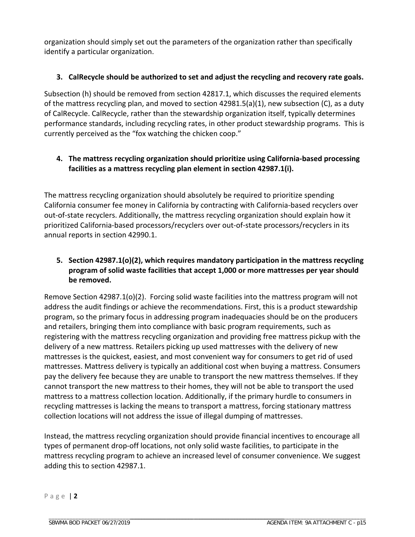organization should simply set out the parameters of the organization rather than specifically identify a particular organization.

## **3. CalRecycle should be authorized to set and adjust the recycling and recovery rate goals.**

Subsection (h) should be removed from section 42817.1, which discusses the required elements of the mattress recycling plan, and moved to section  $42981.5(a)(1)$ , new subsection (C), as a duty of CalRecycle. CalRecycle, rather than the stewardship organization itself, typically determines performance standards, including recycling rates, in other product stewardship programs. This is currently perceived as the "fox watching the chicken coop."

## **4. The mattress recycling organization should prioritize using California-based processing facilities as a mattress recycling plan element in section 42987.1(i).**

The mattress recycling organization should absolutely be required to prioritize spending California consumer fee money in California by contracting with California-based recyclers over out-of-state recyclers. Additionally, the mattress recycling organization should explain how it prioritized California-based processors/recyclers over out-of-state processors/recyclers in its annual reports in section 42990.1.

## **5. Section 42987.1(o)(2), which requires mandatory participation in the mattress recycling program of solid waste facilities that accept 1,000 or more mattresses per year should be removed.**

Remove Section 42987.1(o)(2). Forcing solid waste facilities into the mattress program will not address the audit findings or achieve the recommendations. First, this is a product stewardship program, so the primary focus in addressing program inadequacies should be on the producers and retailers, bringing them into compliance with basic program requirements, such as registering with the mattress recycling organization and providing free mattress pickup with the delivery of a new mattress. Retailers picking up used mattresses with the delivery of new mattresses is the quickest, easiest, and most convenient way for consumers to get rid of used mattresses. Mattress delivery is typically an additional cost when buying a mattress. Consumers pay the delivery fee because they are unable to transport the new mattress themselves. If they cannot transport the new mattress to their homes, they will not be able to transport the used mattress to a mattress collection location. Additionally, if the primary hurdle to consumers in recycling mattresses is lacking the means to transport a mattress, forcing stationary mattress collection locations will not address the issue of illegal dumping of mattresses.

Instead, the mattress recycling organization should provide financial incentives to encourage all types of permanent drop-off locations, not only solid waste facilities, to participate in the mattress recycling program to achieve an increased level of consumer convenience. We suggest adding this to section 42987.1.

Page | **2**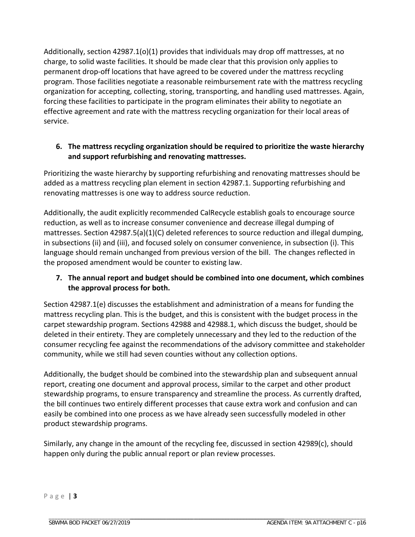Additionally, section 42987.1(o)(1) provides that individuals may drop off mattresses, at no charge, to solid waste facilities. It should be made clear that this provision only applies to permanent drop-off locations that have agreed to be covered under the mattress recycling program. Those facilities negotiate a reasonable reimbursement rate with the mattress recycling organization for accepting, collecting, storing, transporting, and handling used mattresses. Again, forcing these facilities to participate in the program eliminates their ability to negotiate an effective agreement and rate with the mattress recycling organization for their local areas of service.

### **6. The mattress recycling organization should be required to prioritize the waste hierarchy and support refurbishing and renovating mattresses.**

Prioritizing the waste hierarchy by supporting refurbishing and renovating mattresses should be added as a mattress recycling plan element in section 42987.1. Supporting refurbishing and renovating mattresses is one way to address source reduction.

Additionally, the audit explicitly recommended CalRecycle establish goals to encourage source reduction, as well as to increase consumer convenience and decrease illegal dumping of mattresses. Section 42987.5(a)(1)(C) deleted references to source reduction and illegal dumping, in subsections (ii) and (iii), and focused solely on consumer convenience, in subsection (i). This language should remain unchanged from previous version of the bill. The changes reflected in the proposed amendment would be counter to existing law.

## **7. The annual report and budget should be combined into one document, which combines the approval process for both.**

Section 42987.1(e) discusses the establishment and administration of a means for funding the mattress recycling plan. This is the budget, and this is consistent with the budget process in the carpet stewardship program. Sections 42988 and 42988.1, which discuss the budget, should be deleted in their entirety. They are completely unnecessary and they led to the reduction of the consumer recycling fee against the recommendations of the advisory committee and stakeholder community, while we still had seven counties without any collection options.

Additionally, the budget should be combined into the stewardship plan and subsequent annual report, creating one document and approval process, similar to the carpet and other product stewardship programs, to ensure transparency and streamline the process. As currently drafted, the bill continues two entirely different processes that cause extra work and confusion and can easily be combined into one process as we have already seen successfully modeled in other product stewardship programs.

Similarly, any change in the amount of the recycling fee, discussed in section 42989(c), should happen only during the public annual report or plan review processes.

\_\_\_\_\_\_\_\_\_\_\_\_\_\_\_\_\_\_\_\_\_\_\_\_\_\_\_\_\_\_\_\_\_\_\_\_\_\_\_\_\_\_\_\_\_\_\_\_\_\_\_\_ \_\_\_\_\_\_\_\_\_\_\_\_\_\_\_\_\_\_\_\_\_\_\_\_\_\_\_\_\_\_\_\_\_\_\_\_\_\_\_\_\_\_\_\_\_\_\_\_\_\_\_\_\_\_\_\_\_\_

Page | **3**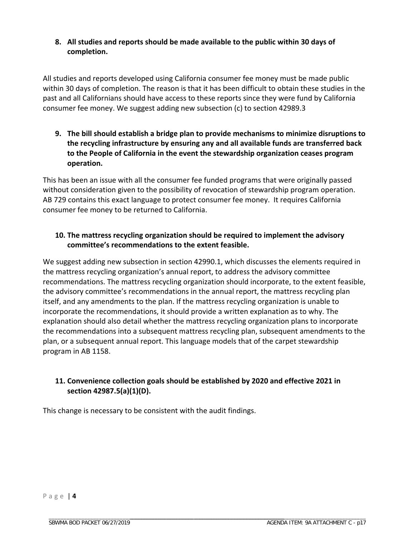## **8. All studies and reports should be made available to the public within 30 days of completion.**

All studies and reports developed using California consumer fee money must be made public within 30 days of completion. The reason is that it has been difficult to obtain these studies in the past and all Californians should have access to these reports since they were fund by California consumer fee money. We suggest adding new subsection (c) to section 42989.3

**9. The bill should establish a bridge plan to provide mechanisms to minimize disruptions to the recycling infrastructure by ensuring any and all available funds are transferred back to the People of California in the event the stewardship organization ceases program operation.**

This has been an issue with all the consumer fee funded programs that were originally passed without consideration given to the possibility of revocation of stewardship program operation. AB 729 contains this exact language to protect consumer fee money. It requires California consumer fee money to be returned to California.

## **10. The mattress recycling organization should be required to implement the advisory committee's recommendations to the extent feasible.**

We suggest adding new subsection in section 42990.1, which discusses the elements required in the mattress recycling organization's annual report, to address the advisory committee recommendations. The mattress recycling organization should incorporate, to the extent feasible, the advisory committee's recommendations in the annual report, the mattress recycling plan itself, and any amendments to the plan. If the mattress recycling organization is unable to incorporate the recommendations, it should provide a written explanation as to why. The explanation should also detail whether the mattress recycling organization plans to incorporate the recommendations into a subsequent mattress recycling plan, subsequent amendments to the plan, or a subsequent annual report. This language models that of the carpet stewardship program in AB 1158.

## **11. Convenience collection goals should be established by 2020 and effective 2021 in section 42987.5(a)(1)(D).**

This change is necessary to be consistent with the audit findings.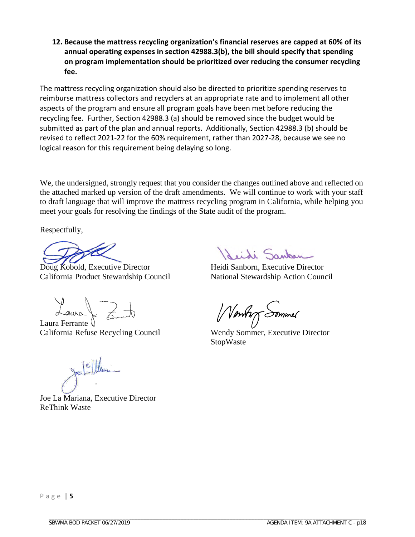**12. Because the mattress recycling organization's financial reserves are capped at 60% of its annual operating expenses in section 42988.3(b), the bill should specify that spending on program implementation should be prioritized over reducing the consumer recycling fee.**

The mattress recycling organization should also be directed to prioritize spending reserves to reimburse mattress collectors and recyclers at an appropriate rate and to implement all other aspects of the program and ensure all program goals have been met before reducing the recycling fee. Further, Section 42988.3 (a) should be removed since the budget would be submitted as part of the plan and annual reports. Additionally, Section 42988.3 (b) should be revised to reflect 2021-22 for the 60% requirement, rather than 2027-28, because we see no logical reason for this requirement being delaying so long.

We, the undersigned, strongly request that you consider the changes outlined above and reflected on the attached marked up version of the draft amendments. We will continue to work with your staff to draft language that will improve the mattress recycling program in California, while helping you meet your goals for resolving the findings of the State audit of the program.

Respectfully,

Doug Kobold, Executive Director Heidi Sanborn, Executive Director California Product Stewardship Council National Stewardship Action Council

Laura J.

Laura Ferrante Q California Refuse Recycling Council Wendy Sommer, Executive Director

Joe La Mariana, Executive Director ReThink Waste

deidi Sankan

Ventory Sommer

StopWaste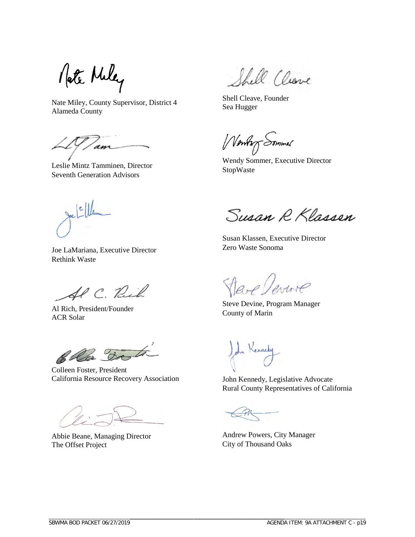Mate Miley

Nate Miley, County Supervisor, District 4 Alameda County

'an

Leslie Mintz Tamminen, Director Seventh Generation Advisors

Shell Cleave

Shell Cleave, Founder Sea Hugger

Wenting Sommer

Wendy Sommer, Executive Director StopWaste

 $\mathcal{L}$ 

Joe LaMariana, Executive Director Rethink Waste

SP C. Rich

Al Rich, President/Founder ACR Solar

Ella Vati

Colleen Foster, President California Resource Recovery Association

Abbie Beane, Managing Director The Offset Project

Susan R Klassen

Susan Klassen, Executive Director Zero Waste Sonoma

Jare Verrore

Steve Devine, Program Manager County of Marin

ohn Kennedy

John Kennedy, Legislative Advocate Rural County Representatives of California

\_\_\_\_\_\_\_\_\_\_\_\_\_\_\_\_\_\_\_\_\_\_\_\_\_\_\_\_\_\_\_\_\_\_\_\_\_\_\_\_\_\_\_\_\_\_\_\_\_\_\_\_ \_\_\_\_\_\_\_\_\_\_\_\_\_\_\_\_\_\_\_\_\_\_\_\_\_\_\_\_\_\_\_\_\_\_\_\_\_\_\_\_\_\_\_\_\_\_\_\_\_\_\_\_\_\_\_\_\_\_

Andrew Powers, City Manager City of Thousand Oaks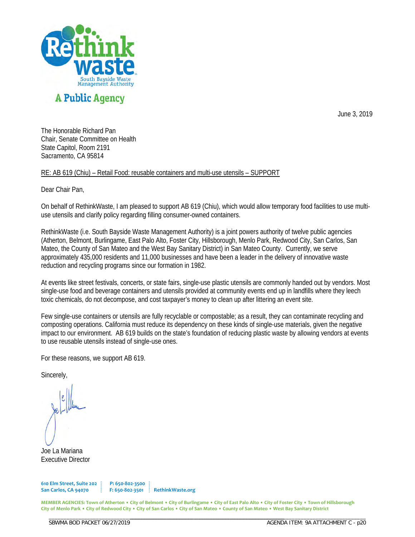

June 3, 2019

The Honorable Richard Pan Chair, Senate Committee on Health State Capitol, Room 2191 Sacramento, CA 95814

RE: AB 619 (Chiu) – Retail Food: reusable containers and multi-use utensils – SUPPORT

Dear Chair Pan,

On behalf of RethinkWaste, I am pleased to support AB 619 (Chiu), which would allow temporary food facilities to use multiuse utensils and clarify policy regarding filling consumer-owned containers.

RethinkWaste (i.e. South Bayside Waste Management Authority) is a joint powers authority of twelve public agencies (Atherton, Belmont, Burlingame, East Palo Alto, Foster City, Hillsborough, Menlo Park, Redwood City, San Carlos, San Mateo, the County of San Mateo and the West Bay Sanitary District) in San Mateo County. Currently, we serve approximately 435,000 residents and 11,000 businesses and have been a leader in the delivery of innovative waste reduction and recycling programs since our formation in 1982.

At events like street festivals, concerts, or state fairs, single-use plastic utensils are commonly handed out by vendors. Most single-use food and beverage containers and utensils provided at community events end up in landfills where they leech toxic chemicals, do not decompose, and cost taxpayer's money to clean up after littering an event site.

Few single-use containers or utensils are fully recyclable or compostable; as a result, they can contaminate recycling and composting operations. California must reduce its dependency on these kinds of single-use materials, given the negative impact to our environment. AB 619 builds on the state's foundation of reducing plastic waste by allowing vendors at events to use reusable utensils instead of single-use ones.

For these reasons, we support AB 619.

Sincerely,

Joe La Mariana Executive Director

**610 Elm Street, Suite 202 P: 650-802-3500 San Carlos, CA 94070 F: 650-802-3501 RethinkWaste.org**

\_\_\_\_\_\_\_\_\_\_\_\_\_\_\_\_\_\_\_\_\_\_\_\_\_\_\_\_\_\_\_\_\_\_\_\_\_\_\_\_\_\_\_\_\_\_\_\_\_

**MEMBER AGENCIES: Town of Atherton • City of Belmont • City of Burlingame • City of East Palo Alto • City of Foster City • Town of Hillsborough City of Menlo Park • City of Redwood City • City of San Carlos • City of San Mateo • County of San Mateo • West Bay Sanitary District**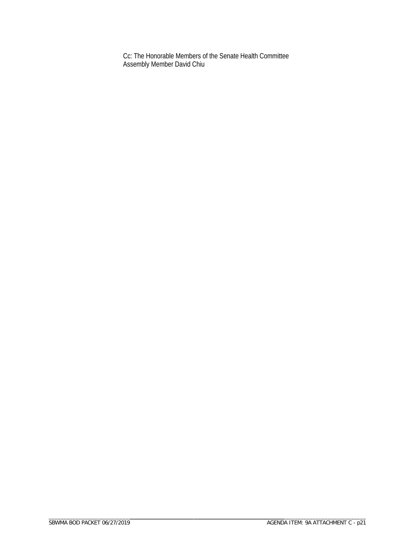Cc: The Honorable Members of the Senate Health Committee Assembly Member David Chiu

\_\_\_\_\_\_\_\_\_\_\_\_\_\_\_\_\_\_\_\_\_\_\_\_\_\_\_\_\_\_\_\_\_\_\_\_\_\_\_\_\_\_\_\_\_\_\_\_\_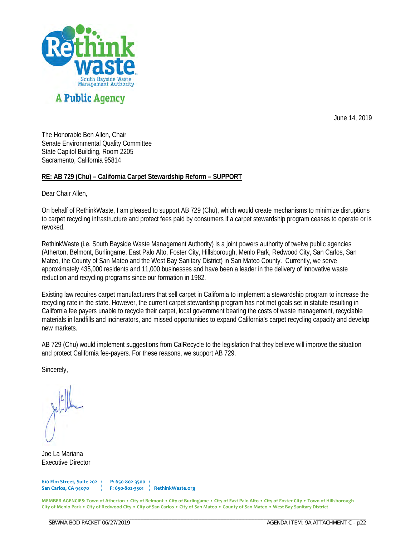

June 14, 2019

The Honorable Ben Allen, Chair Senate Environmental Quality Committee State Capitol Building, Room 2205 Sacramento, California 95814

#### **RE: AB 729 (Chu) – California Carpet Stewardship Reform – SUPPORT**

Dear Chair Allen,

On behalf of RethinkWaste, I am pleased to support AB 729 (Chu), which would create mechanisms to minimize disruptions to carpet recycling infrastructure and protect fees paid by consumers if a carpet stewardship program ceases to operate or is revoked.

RethinkWaste (i.e. South Bayside Waste Management Authority) is a joint powers authority of twelve public agencies (Atherton, Belmont, Burlingame, East Palo Alto, Foster City, Hillsborough, Menlo Park, Redwood City, San Carlos, San Mateo, the County of San Mateo and the West Bay Sanitary District) in San Mateo County. Currently, we serve approximately 435,000 residents and 11,000 businesses and have been a leader in the delivery of innovative waste reduction and recycling programs since our formation in 1982.

Existing law requires carpet manufacturers that sell carpet in California to implement a stewardship program to increase the recycling rate in the state. However, the current carpet stewardship program has not met goals set in statute resulting in California fee payers unable to recycle their carpet, local government bearing the costs of waste management, recyclable materials in landfills and incinerators, and missed opportunities to expand California's carpet recycling capacity and develop new markets.

AB 729 (Chu) would implement suggestions from CalRecycle to the legislation that they believe will improve the situation and protect California fee-payers. For these reasons, we support AB 729.

Sincerely,

Joe La Mariana Executive Director

**610 Elm Street, Suite 202 P: 650-802-3500 San Carlos, CA 94070 F: 650-802-3501 RethinkWaste.org**

\_\_\_\_\_\_\_\_\_\_\_\_\_\_\_\_\_\_\_\_\_\_\_\_\_\_\_\_\_\_\_\_\_\_\_\_\_\_\_\_\_\_\_\_\_\_\_\_\_

**MEMBER AGENCIES: Town of Atherton • City of Belmont • City of Burlingame • City of East Palo Alto • City of Foster City • Town of Hillsborough City of Menlo Park • City of Redwood City • City of San Carlos • City of San Mateo • County of San Mateo • West Bay Sanitary District**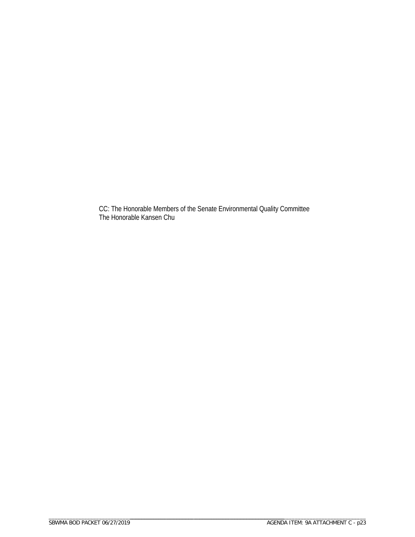CC: The Honorable Members of the Senate Environmental Quality Committee The Honorable Kansen Chu

\_\_\_\_\_\_\_\_\_\_\_\_\_\_\_\_\_\_\_\_\_\_\_\_\_\_\_\_\_\_\_\_\_\_\_\_\_\_\_\_\_\_\_\_\_\_\_\_\_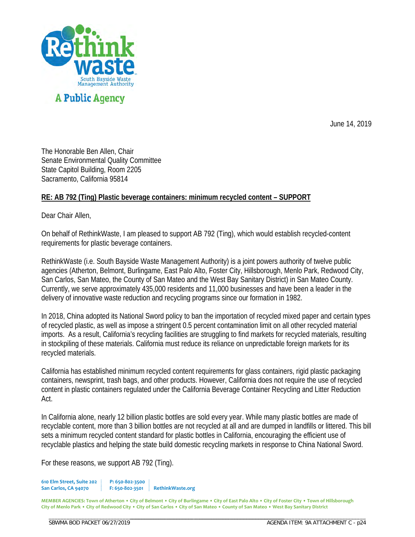

June 14, 2019

The Honorable Ben Allen, Chair Senate Environmental Quality Committee State Capitol Building, Room 2205 Sacramento, California 95814

### **RE: AB 792 (Ting) Plastic beverage containers: minimum recycled content – SUPPORT**

Dear Chair Allen,

On behalf of RethinkWaste, I am pleased to support AB 792 (Ting), which would establish recycled-content requirements for plastic beverage containers.

RethinkWaste (i.e. South Bayside Waste Management Authority) is a joint powers authority of twelve public agencies (Atherton, Belmont, Burlingame, East Palo Alto, Foster City, Hillsborough, Menlo Park, Redwood City, San Carlos, San Mateo, the County of San Mateo and the West Bay Sanitary District) in San Mateo County. Currently, we serve approximately 435,000 residents and 11,000 businesses and have been a leader in the delivery of innovative waste reduction and recycling programs since our formation in 1982.

In 2018, China adopted its National Sword policy to ban the importation of recycled mixed paper and certain types of recycled plastic, as well as impose a stringent 0.5 percent contamination limit on all other recycled material imports. As a result, California's recycling facilities are struggling to find markets for recycled materials, resulting in stockpiling of these materials. California must reduce its reliance on unpredictable foreign markets for its recycled materials.

California has established minimum recycled content requirements for glass containers, rigid plastic packaging containers, newsprint, trash bags, and other products. However, California does not require the use of recycled content in plastic containers regulated under the California Beverage Container Recycling and Litter Reduction Act.

In California alone, nearly 12 billion plastic bottles are sold every year. While many plastic bottles are made of recyclable content, more than 3 billion bottles are not recycled at all and are dumped in landfills or littered. This bill sets a minimum recycled content standard for plastic bottles in California, encouraging the efficient use of recyclable plastics and helping the state build domestic recycling markets in response to China National Sword.

For these reasons, we support AB 792 (Ting).

**610 Elm Street, Suite 202 P: 650-802-3500 San Carlos, CA 94070 F: 650-802-3501 RethinkWaste.org**

\_\_\_\_\_\_\_\_\_\_\_\_\_\_\_\_\_\_\_\_\_\_\_\_\_\_\_\_\_\_\_\_\_\_\_\_\_\_\_\_\_\_\_\_\_\_\_\_\_

**MEMBER AGENCIES: Town of Atherton • City of Belmont • City of Burlingame • City of East Palo Alto • City of Foster City • Town of Hillsborough City of Menlo Park • City of Redwood City • City of San Carlos • City of San Mateo • County of San Mateo • West Bay Sanitary District**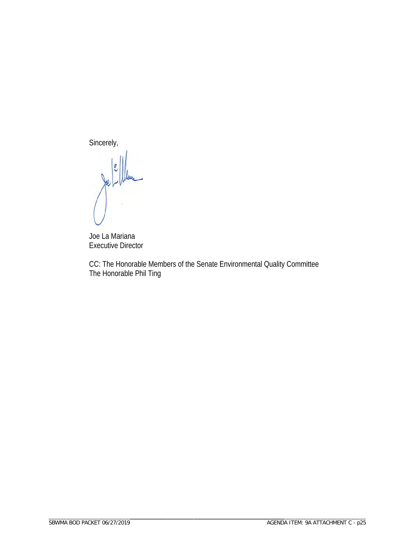Sincerely,

C

Joe La Mariana Executive Director

CC: The Honorable Members of the Senate Environmental Quality Committee The Honorable Phil Ting

\_\_\_\_\_\_\_\_\_\_\_\_\_\_\_\_\_\_\_\_\_\_\_\_\_\_\_\_\_\_\_\_\_\_\_\_\_\_\_\_\_\_\_\_\_\_\_\_\_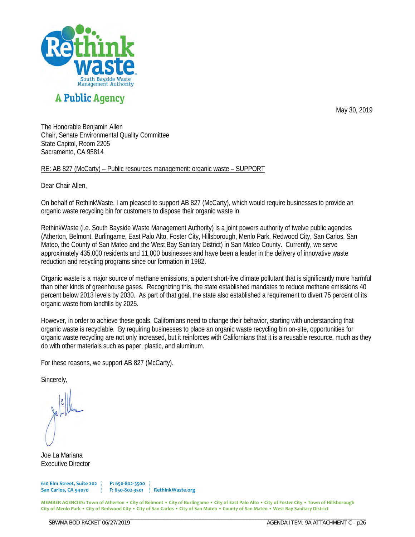

# **A Public Agency**

May 30, 2019

The Honorable Benjamin Allen Chair, Senate Environmental Quality Committee State Capitol, Room 2205 Sacramento, CA 95814

RE: AB 827 (McCarty) – Public resources management: organic waste – SUPPORT

Dear Chair Allen,

On behalf of RethinkWaste, I am pleased to support AB 827 (McCarty), which would require businesses to provide an organic waste recycling bin for customers to dispose their organic waste in.

RethinkWaste (i.e. South Bayside Waste Management Authority) is a joint powers authority of twelve public agencies (Atherton, Belmont, Burlingame, East Palo Alto, Foster City, Hillsborough, Menlo Park, Redwood City, San Carlos, San Mateo, the County of San Mateo and the West Bay Sanitary District) in San Mateo County. Currently, we serve approximately 435,000 residents and 11,000 businesses and have been a leader in the delivery of innovative waste reduction and recycling programs since our formation in 1982.

Organic waste is a major source of methane emissions, a potent short-live climate pollutant that is significantly more harmful than other kinds of greenhouse gases. Recognizing this, the state established mandates to reduce methane emissions 40 percent below 2013 levels by 2030. As part of that goal, the state also established a requirement to divert 75 percent of its organic waste from landfills by 2025.

However, in order to achieve these goals, Californians need to change their behavior, starting with understanding that organic waste is recyclable. By requiring businesses to place an organic waste recycling bin on-site, opportunities for organic waste recycling are not only increased, but it reinforces with Californians that it is a reusable resource, much as they do with other materials such as paper, plastic, and aluminum.

For these reasons, we support AB 827 (McCarty).

Sincerely,

Joe La Mariana Executive Director

**610 Elm Street, Suite 202 P: 650-802-3500 San Carlos, CA 94070 F: 650-802-3501 RethinkWaste.org**

\_\_\_\_\_\_\_\_\_\_\_\_\_\_\_\_\_\_\_\_\_\_\_\_\_\_\_\_\_\_\_\_\_\_\_\_\_\_\_\_\_\_\_\_\_\_\_\_\_

**MEMBER AGENCIES: Town of Atherton • City of Belmont • City of Burlingame • City of East Palo Alto • City of Foster City • Town of Hillsborough City of Menlo Park • City of Redwood City • City of San Carlos • City of San Mateo • County of San Mateo • West Bay Sanitary District**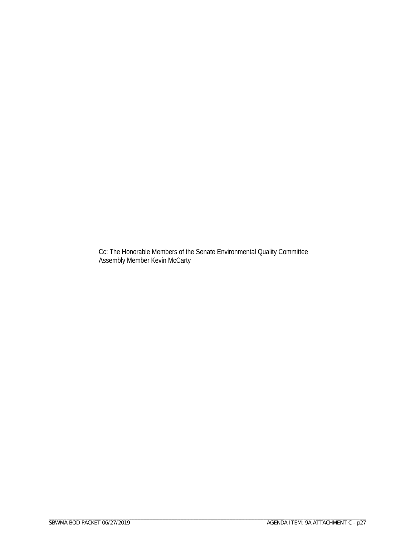Cc: The Honorable Members of the Senate Environmental Quality Committee Assembly Member Kevin McCarty

\_\_\_\_\_\_\_\_\_\_\_\_\_\_\_\_\_\_\_\_\_\_\_\_\_\_\_\_\_\_\_\_\_\_\_\_\_\_\_\_\_\_\_\_\_\_\_\_\_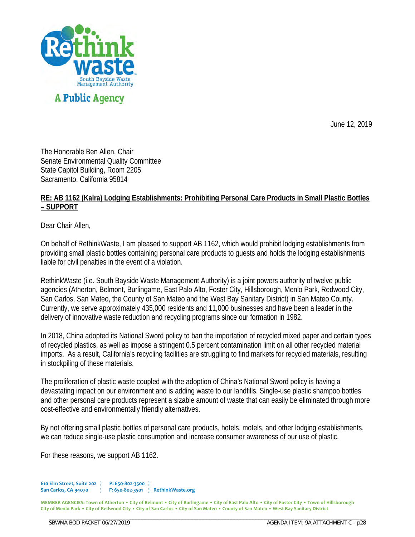

June 12, 2019

The Honorable Ben Allen, Chair Senate Environmental Quality Committee State Capitol Building, Room 2205 Sacramento, California 95814

## **RE: AB 1162 (Kalra) Lodging Establishments: Prohibiting Personal Care Products in Small Plastic Bottles – SUPPORT**

Dear Chair Allen,

On behalf of RethinkWaste, I am pleased to support AB 1162, which would prohibit lodging establishments from providing small plastic bottles containing personal care products to guests and holds the lodging establishments liable for civil penalties in the event of a violation.

RethinkWaste (i.e. South Bayside Waste Management Authority) is a joint powers authority of twelve public agencies (Atherton, Belmont, Burlingame, East Palo Alto, Foster City, Hillsborough, Menlo Park, Redwood City, San Carlos, San Mateo, the County of San Mateo and the West Bay Sanitary District) in San Mateo County. Currently, we serve approximately 435,000 residents and 11,000 businesses and have been a leader in the delivery of innovative waste reduction and recycling programs since our formation in 1982.

In 2018, China adopted its National Sword policy to ban the importation of recycled mixed paper and certain types of recycled plastics, as well as impose a stringent 0.5 percent contamination limit on all other recycled material imports. As a result, California's recycling facilities are struggling to find markets for recycled materials, resulting in stockpiling of these materials.

The proliferation of plastic waste coupled with the adoption of China's National Sword policy is having a devastating impact on our environment and is adding waste to our landfills. Single-use plastic shampoo bottles and other personal care products represent a sizable amount of waste that can easily be eliminated through more cost-effective and environmentally friendly alternatives.

By not offering small plastic bottles of personal care products, hotels, motels, and other lodging establishments, we can reduce single-use plastic consumption and increase consumer awareness of our use of plastic.

For these reasons, we support AB 1162.

**610 Elm Street, Suite 202 P: 650-802-3500 San Carlos, CA 94070 F: 650-802-3501 RethinkWaste.org**

\_\_\_\_\_\_\_\_\_\_\_\_\_\_\_\_\_\_\_\_\_\_\_\_\_\_\_\_\_\_\_\_\_\_\_\_\_\_\_\_\_\_\_\_\_\_\_\_\_

**MEMBER AGENCIES: Town of Atherton • City of Belmont • City of Burlingame • City of East Palo Alto • City of Foster City • Town of Hillsborough City of Menlo Park • City of Redwood City • City of San Carlos • City of San Mateo • County of San Mateo • West Bay Sanitary District**